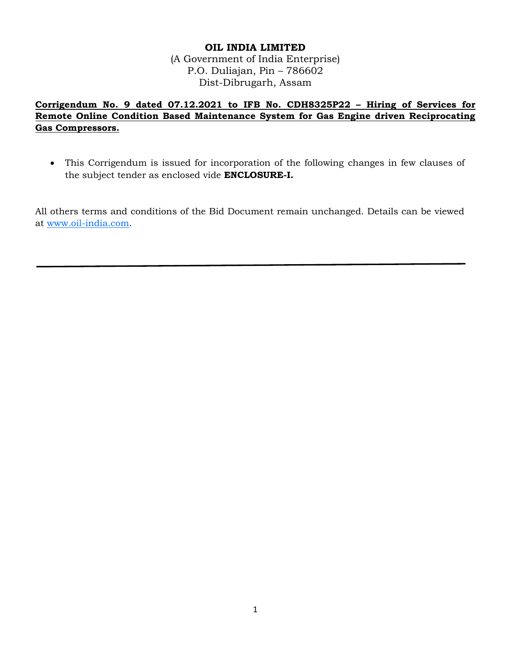## **OIL INDIA LIMITED**

(A Government of India Enterprise) P.O. Duliajan, Pin – 786602 Dist-Dibrugarh, Assam

**Corrigendum No. 9 dated 07.12.2021 to IFB No. CDH8325P22 – Hiring of Services for Remote Online Condition Based Maintenance System for Gas Engine driven Reciprocating Gas Compressors.**

 This Corrigendum is issued for incorporation of the following changes in few clauses of the subject tender as enclosed vide **ENCLOSURE-I.**

All others terms and conditions of the Bid Document remain unchanged. Details can be viewed at [www.oil-india.com.](http://www.oil-india.com/)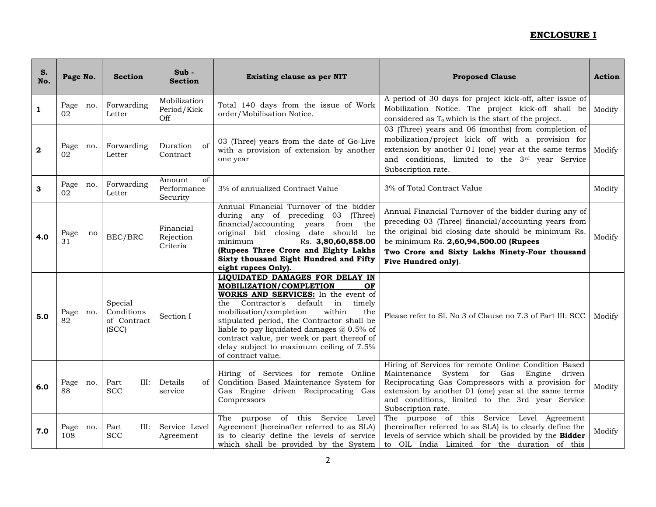| S.<br>No.    | Page No.         | <b>Section</b>                                | $Sub -$<br><b>Section</b>               | <b>Existing clause as per NIT</b>                                                                                                                                                                                                                                                                                                                                                                                   | <b>Proposed Clause</b>                                                                                                                                                                                                                                                                     | <b>Action</b> |
|--------------|------------------|-----------------------------------------------|-----------------------------------------|---------------------------------------------------------------------------------------------------------------------------------------------------------------------------------------------------------------------------------------------------------------------------------------------------------------------------------------------------------------------------------------------------------------------|--------------------------------------------------------------------------------------------------------------------------------------------------------------------------------------------------------------------------------------------------------------------------------------------|---------------|
| $\mathbf{1}$ | Page no.<br>02   | Forwarding<br>Letter                          | Mobilization<br>Period/Kick<br>Off      | Total 140 days from the issue of Work<br>order/Mobilisation Notice.                                                                                                                                                                                                                                                                                                                                                 | A period of 30 days for project kick-off, after issue of<br>Mobilization Notice. The project kick-off shall be<br>considered as $T_0$ which is the start of the project.                                                                                                                   | Modify        |
| $\mathbf{2}$ | Page no.<br>02   | Forwarding<br>Letter                          | Duration<br>of<br>Contract              | 03 (Three) years from the date of Go-Live<br>with a provision of extension by another<br>one year                                                                                                                                                                                                                                                                                                                   | 03 (Three) years and 06 (months) from completion of<br>mobilization/project kick off with a provision for<br>extension by another 01 (one) year at the same terms<br>and conditions, limited to the 3rd year Service<br>Subscription rate.                                                 | Modify        |
| 3            | Page no.<br>02   | Forwarding<br>Letter                          | Amount<br>of<br>Performance<br>Security | 3% of annualized Contract Value                                                                                                                                                                                                                                                                                                                                                                                     | 3% of Total Contract Value                                                                                                                                                                                                                                                                 | Modify        |
| 4.0          | Page<br>no<br>31 | BEC/BRC                                       | Financial<br>Rejection<br>Criteria      | Annual Financial Turnover of the bidder<br>during any of preceding<br>03<br>(Three)<br>financial/accounting years<br>from the<br>original bid closing date should be<br>minimum<br>Rs. 3,80,60,858.00<br>(Rupees Three Crore and Eighty Lakhs<br>Sixty thousand Eight Hundred and Fifty<br>eight rupees Only).                                                                                                      | Annual Financial Turnover of the bidder during any of<br>preceding 03 (Three) financial/accounting years from<br>the original bid closing date should be minimum Rs.<br>be minimum Rs. 2,60,94,500.00 (Rupees<br>Two Crore and Sixty Lakhs Ninety-Four thousand<br>Five Hundred only).     | Modify        |
| 5.0          | Page no.<br>82   | Special<br>Conditions<br>of Contract<br>(SCC) | Section I                               | LIQUIDATED DAMAGES FOR DELAY IN<br>MOBILIZATION/COMPLETION<br>OF<br>WORKS AND SERVICES: In the event of<br>the Contractor's<br>default in<br>timely<br>mobilization/completion<br>within<br>the<br>stipulated period, the Contractor shall be<br>liable to pay liquidated damages $\omega$ 0.5% of<br>contract value, per week or part thereof of<br>delay subject to maximum ceiling of 7.5%<br>of contract value. | Please refer to Sl. No 3 of Clause no 7.3 of Part III: SCC                                                                                                                                                                                                                                 | Modify        |
| 6.0          | Page no.<br>88   | Part<br>III:<br><b>SCC</b>                    | Details<br>of<br>service                | Hiring of Services for remote Online<br>Condition Based Maintenance System for<br>Gas Engine driven Reciprocating Gas<br>Compressors                                                                                                                                                                                                                                                                                | Hiring of Services for remote Online Condition Based<br>Maintenance System for Gas Engine<br>driven<br>Reciprocating Gas Compressors with a provision for<br>extension by another 01 (one) year at the same terms<br>and conditions, limited to the 3rd year Service<br>Subscription rate. | Modify        |
| 7.0          | Page no.<br>108  | Part<br>III:<br><b>SCC</b>                    | Service Level<br>Agreement              | purpose of this Service Level<br>The<br>Agreement (hereinafter referred to as SLA)<br>is to clearly define the levels of service<br>which shall be provided by the System                                                                                                                                                                                                                                           | The purpose of this Service Level Agreement<br>(hereinafter referred to as SLA) is to clearly define the<br>levels of service which shall be provided by the Bidder<br>to OIL India Limited for the duration of this                                                                       | Modify        |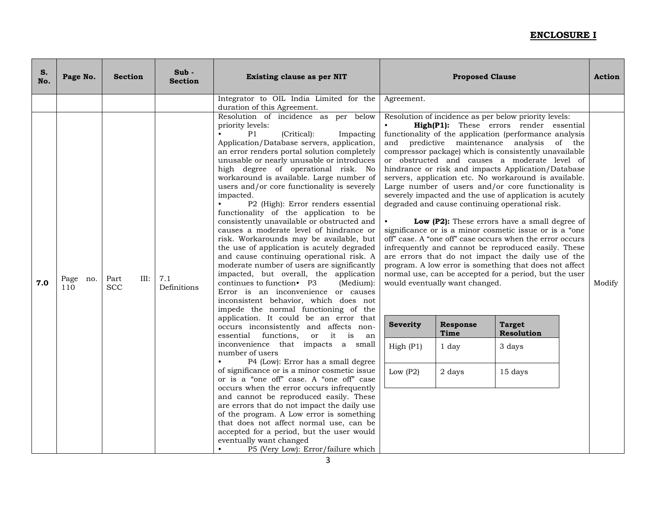| S.<br>No. | Page No.           | <b>Section</b>             | $Sub -$<br><b>Section</b> | Existing clause as per NIT                                                                                                                                                                                                                                                                                                                                                                                                                                                                                                                                                                                                                                                                                                                                                                                                                                                                                                                                                                                                                                                                                                                                                                                                                                                                                                                                                                                                                                                                                                                                                                                                                   | <b>Proposed Clause</b>                                                                                                                                                                                                                                                                                                                                                                                                                                                                                                                                                                                                                                                                                                                                                                                                                                                                                                                                                                                                                                                                                                                                                                  | <b>Action</b> |  |
|-----------|--------------------|----------------------------|---------------------------|----------------------------------------------------------------------------------------------------------------------------------------------------------------------------------------------------------------------------------------------------------------------------------------------------------------------------------------------------------------------------------------------------------------------------------------------------------------------------------------------------------------------------------------------------------------------------------------------------------------------------------------------------------------------------------------------------------------------------------------------------------------------------------------------------------------------------------------------------------------------------------------------------------------------------------------------------------------------------------------------------------------------------------------------------------------------------------------------------------------------------------------------------------------------------------------------------------------------------------------------------------------------------------------------------------------------------------------------------------------------------------------------------------------------------------------------------------------------------------------------------------------------------------------------------------------------------------------------------------------------------------------------|-----------------------------------------------------------------------------------------------------------------------------------------------------------------------------------------------------------------------------------------------------------------------------------------------------------------------------------------------------------------------------------------------------------------------------------------------------------------------------------------------------------------------------------------------------------------------------------------------------------------------------------------------------------------------------------------------------------------------------------------------------------------------------------------------------------------------------------------------------------------------------------------------------------------------------------------------------------------------------------------------------------------------------------------------------------------------------------------------------------------------------------------------------------------------------------------|---------------|--|
|           |                    |                            |                           | Integrator to OIL India Limited for the<br>duration of this Agreement.                                                                                                                                                                                                                                                                                                                                                                                                                                                                                                                                                                                                                                                                                                                                                                                                                                                                                                                                                                                                                                                                                                                                                                                                                                                                                                                                                                                                                                                                                                                                                                       | Agreement.                                                                                                                                                                                                                                                                                                                                                                                                                                                                                                                                                                                                                                                                                                                                                                                                                                                                                                                                                                                                                                                                                                                                                                              |               |  |
| 7.0       | Page<br>no.<br>110 | Part<br>III:<br><b>SCC</b> | 7.1<br>Definitions        | Resolution of incidence as per below<br>priority levels:<br>P1<br>(Critical):<br>Impacting<br>Application/Database servers, application,<br>an error renders portal solution completely<br>unusable or nearly unusable or introduces<br>high degree of operational risk. No<br>workaround is available. Large number of<br>users and/or core functionality is severely<br>impacted.<br>P2 (High): Error renders essential<br>functionality of the application to be<br>consistently unavailable or obstructed and<br>causes a moderate level of hindrance or<br>risk. Workarounds may be available, but<br>the use of application is acutely degraded<br>and cause continuing operational risk. A<br>moderate number of users are significantly<br>impacted, but overall, the application<br>continues to function• P3<br>(Medium):<br>Error is an inconvenience or causes<br>inconsistent behavior, which does not<br>impede the normal functioning of the<br>application. It could be an error that<br>occurs inconsistently and affects non-<br>essential functions,<br>or it is<br>an<br>inconvenience that impacts a small<br>number of users<br>P4 (Low): Error has a small degree<br>of significance or is a minor cosmetic issue<br>or is a "one off" case. A "one off" case<br>occurs when the error occurs infrequently<br>and cannot be reproduced easily. These<br>are errors that do not impact the daily use<br>of the program. A Low error is something<br>that does not affect normal use, can be<br>accepted for a period, but the user would<br>eventually want changed<br>P5 (Very Low): Error/failure which<br>$\bullet$ | Resolution of incidence as per below priority levels:<br>High(P1): These errors render essential<br>functionality of the application (performance analysis<br>and predictive maintenance analysis of the<br>compressor package) which is consistently unavailable<br>or obstructed and causes a moderate level of<br>hindrance or risk and impacts Application/Database<br>servers, application etc. No workaround is available.<br>Large number of users and/or core functionality is<br>severely impacted and the use of application is acutely<br>degraded and cause continuing operational risk.<br>Low (P2): These errors have a small degree of<br>significance or is a minor cosmetic issue or is a "one<br>off" case. A "one off" case occurs when the error occurs<br>infrequently and cannot be reproduced easily. These<br>are errors that do not impact the daily use of the<br>program. A low error is something that does not affect<br>normal use, can be accepted for a period, but the user<br>would eventually want changed.<br>Response<br><b>Target</b><br><b>Severity</b><br>Time<br>Resolution<br>High (P1)<br>1 day<br>3 days<br>Low $(P2)$<br>2 days<br>15 days | Modify        |  |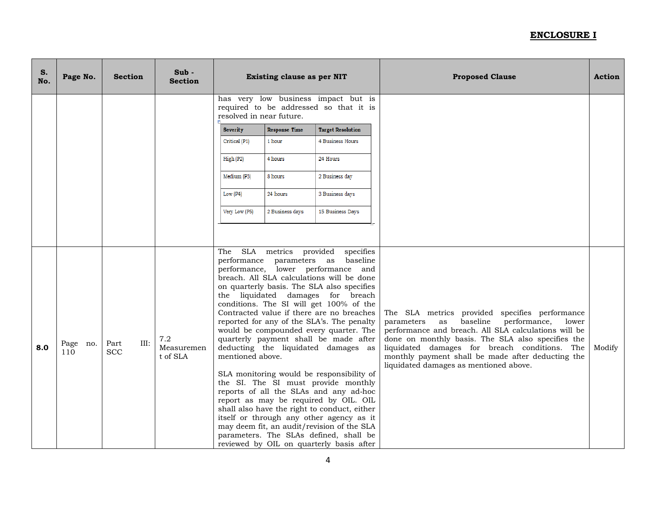| S.<br>No. | Page No.           | <b>Section</b>             | $Sub -$<br><b>Section</b>     | <b>Existing clause as per NIT</b> |                                                   |                                                                                                                                                                                                                                                                                                                                                                                                                                                                                                                                                                                                                                                                                                                                                                                                                                                                    | <b>Proposed Clause</b>                                                                                                                                                                                                                                                                                                                                            | <b>Action</b> |
|-----------|--------------------|----------------------------|-------------------------------|-----------------------------------|---------------------------------------------------|--------------------------------------------------------------------------------------------------------------------------------------------------------------------------------------------------------------------------------------------------------------------------------------------------------------------------------------------------------------------------------------------------------------------------------------------------------------------------------------------------------------------------------------------------------------------------------------------------------------------------------------------------------------------------------------------------------------------------------------------------------------------------------------------------------------------------------------------------------------------|-------------------------------------------------------------------------------------------------------------------------------------------------------------------------------------------------------------------------------------------------------------------------------------------------------------------------------------------------------------------|---------------|
|           |                    |                            |                               | resolved in near future.          |                                                   | has very low business impact but is<br>required to be addressed so that it is                                                                                                                                                                                                                                                                                                                                                                                                                                                                                                                                                                                                                                                                                                                                                                                      |                                                                                                                                                                                                                                                                                                                                                                   |               |
|           |                    |                            |                               | <b>Severity</b>                   | <b>Response Time</b>                              | <b>Target Resolution</b>                                                                                                                                                                                                                                                                                                                                                                                                                                                                                                                                                                                                                                                                                                                                                                                                                                           |                                                                                                                                                                                                                                                                                                                                                                   |               |
|           |                    |                            |                               | Critical (P1)                     | 1 hour                                            | 4 Business Hours                                                                                                                                                                                                                                                                                                                                                                                                                                                                                                                                                                                                                                                                                                                                                                                                                                                   |                                                                                                                                                                                                                                                                                                                                                                   |               |
|           |                    |                            |                               | High (P2)                         | 4 hours                                           | 24 Hours                                                                                                                                                                                                                                                                                                                                                                                                                                                                                                                                                                                                                                                                                                                                                                                                                                                           |                                                                                                                                                                                                                                                                                                                                                                   |               |
|           |                    |                            |                               | Medium (P3)                       | 8 hours                                           | 2 Business day                                                                                                                                                                                                                                                                                                                                                                                                                                                                                                                                                                                                                                                                                                                                                                                                                                                     |                                                                                                                                                                                                                                                                                                                                                                   |               |
|           |                    |                            |                               | Low (P4)                          | 24 hours                                          | 3 Business days                                                                                                                                                                                                                                                                                                                                                                                                                                                                                                                                                                                                                                                                                                                                                                                                                                                    |                                                                                                                                                                                                                                                                                                                                                                   |               |
|           |                    |                            |                               | Very Low (P5)                     | 2 Business days                                   | 15 Business Days                                                                                                                                                                                                                                                                                                                                                                                                                                                                                                                                                                                                                                                                                                                                                                                                                                                   |                                                                                                                                                                                                                                                                                                                                                                   |               |
|           |                    |                            |                               |                                   |                                                   |                                                                                                                                                                                                                                                                                                                                                                                                                                                                                                                                                                                                                                                                                                                                                                                                                                                                    |                                                                                                                                                                                                                                                                                                                                                                   |               |
| 8.0       | Page<br>no.<br>110 | III:<br>Part<br><b>SCC</b> | 7.2<br>Measuremen<br>t of SLA | The<br>mentioned above.           | SLA metrics provided<br>performance parameters as | specifies<br>baseline<br>performance, lower performance and<br>breach. All SLA calculations will be done<br>on quarterly basis. The SLA also specifies<br>the liquidated damages for breach<br>conditions. The SI will get 100% of the<br>Contracted value if there are no breaches<br>reported for any of the SLA's. The penalty<br>would be compounded every quarter. The<br>quarterly payment shall be made after<br>deducting the liquidated damages as<br>SLA monitoring would be responsibility of<br>the SI. The SI must provide monthly<br>reports of all the SLAs and any ad-hoc<br>report as may be required by OIL. OIL<br>shall also have the right to conduct, either<br>itself or through any other agency as it<br>may deem fit, an audit/revision of the SLA<br>parameters. The SLAs defined, shall be<br>reviewed by OIL on quarterly basis after | The SLA metrics provided specifies performance<br>baseline performance,<br>lower<br>parameters<br>as<br>performance and breach. All SLA calculations will be<br>done on monthly basis. The SLA also specifies the<br>liquidated damages for breach conditions. The<br>monthly payment shall be made after deducting the<br>liquidated damages as mentioned above. | Modify        |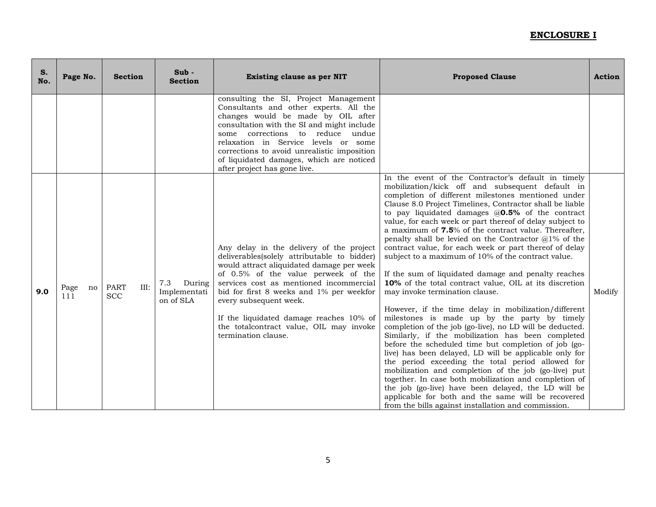| S.<br>No. | Page No.          | <b>Section</b>                    | $Sub -$<br><b>Section</b>                  | <b>Existing clause as per NIT</b>                                                                                                                                                                                                                                                                                                                                                                         | <b>Proposed Clause</b>                                                                                                                                                                                                                                                                                                                                                                                                                                                                                                                                                                                                                                                                                                                                                                                                                                                                                                                                                                                                                                                                                                                                                                                                                                                                                                                                                                                                   | <b>Action</b> |
|-----------|-------------------|-----------------------------------|--------------------------------------------|-----------------------------------------------------------------------------------------------------------------------------------------------------------------------------------------------------------------------------------------------------------------------------------------------------------------------------------------------------------------------------------------------------------|--------------------------------------------------------------------------------------------------------------------------------------------------------------------------------------------------------------------------------------------------------------------------------------------------------------------------------------------------------------------------------------------------------------------------------------------------------------------------------------------------------------------------------------------------------------------------------------------------------------------------------------------------------------------------------------------------------------------------------------------------------------------------------------------------------------------------------------------------------------------------------------------------------------------------------------------------------------------------------------------------------------------------------------------------------------------------------------------------------------------------------------------------------------------------------------------------------------------------------------------------------------------------------------------------------------------------------------------------------------------------------------------------------------------------|---------------|
|           |                   |                                   |                                            | consulting the SI, Project Management<br>Consultants and other experts. All the<br>changes would be made by OIL after<br>consultation with the SI and might include<br>some corrections to reduce undue<br>relaxation in Service levels or some<br>corrections to avoid unrealistic imposition<br>of liquidated damages, which are noticed<br>after project has gone live.                                |                                                                                                                                                                                                                                                                                                                                                                                                                                                                                                                                                                                                                                                                                                                                                                                                                                                                                                                                                                                                                                                                                                                                                                                                                                                                                                                                                                                                                          |               |
| 9.0       | Page<br>no<br>111 | <b>PART</b><br>III:<br><b>SCC</b> | 7.3<br>During<br>Implementati<br>on of SLA | Any delay in the delivery of the project<br>deliverables(solely attributable to bidder)<br>would attract aliquidated damage per week<br>of 0.5% of the value perweek of the<br>services cost as mentioned incommercial<br>bid for first 8 weeks and 1% per weekfor<br>every subsequent week.<br>If the liquidated damage reaches 10% of<br>the totalcontract value, OIL may invoke<br>termination clause. | In the event of the Contractor's default in timely<br>mobilization/kick off and subsequent default in<br>completion of different milestones mentioned under<br>Clause 8.0 Project Timelines, Contractor shall be liable<br>to pay liquidated damages $@0.5%$ of the contract<br>value, for each week or part thereof of delay subject to<br>a maximum of 7.5% of the contract value. Thereafter,<br>penalty shall be levied on the Contractor $\omega$ 1% of the<br>contract value, for each week or part thereof of delay<br>subject to a maximum of 10% of the contract value.<br>If the sum of liquidated damage and penalty reaches<br>10% of the total contract value, OIL at its discretion<br>may invoke termination clause.<br>However, if the time delay in mobilization/different<br>milestones is made up by the party by timely<br>completion of the job (go-live), no LD will be deducted.<br>Similarly, if the mobilization has been completed<br>before the scheduled time but completion of job (go-<br>live) has been delayed, LD will be applicable only for<br>the period exceeding the total period allowed for<br>mobilization and completion of the job (go-live) put<br>together. In case both mobilization and completion of<br>the job (go-live) have been delayed, the LD will be<br>applicable for both and the same will be recovered<br>from the bills against installation and commission. | Modify        |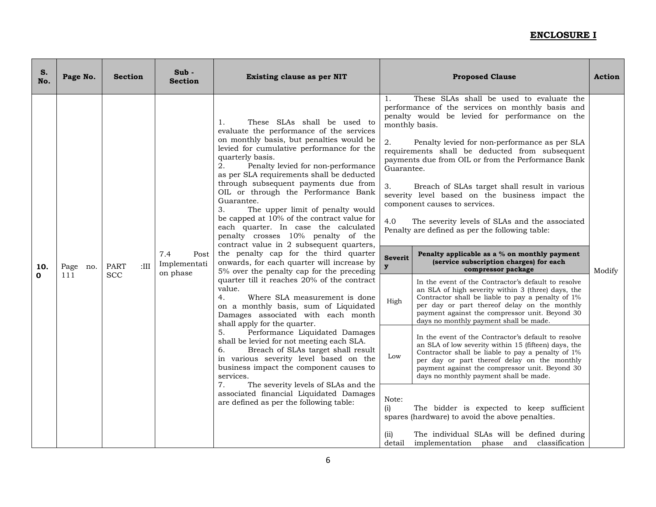| S.<br>No.          | Page No.           | <b>Section</b>                     | Sub -<br><b>Section</b>                 | <b>Existing clause as per NIT</b>                                                                                                                                                                                                                                                                                                                                                                                                                                                                                                                                                                                                                                                                                                                                                                                                                                                                                                                                                                                                                                                                                                                                                                                                                                                                                           | <b>Proposed Clause</b>                                                                                                        |                                                                                                                                                                                                                                                                                                                                                                                                                                                                                                                                                                                                                                                                                                                                                                                                                                                                                                                                                                                                                                                                                                                                                                                                                                                                                                                                                                                                                                                                                           | <b>Action</b> |
|--------------------|--------------------|------------------------------------|-----------------------------------------|-----------------------------------------------------------------------------------------------------------------------------------------------------------------------------------------------------------------------------------------------------------------------------------------------------------------------------------------------------------------------------------------------------------------------------------------------------------------------------------------------------------------------------------------------------------------------------------------------------------------------------------------------------------------------------------------------------------------------------------------------------------------------------------------------------------------------------------------------------------------------------------------------------------------------------------------------------------------------------------------------------------------------------------------------------------------------------------------------------------------------------------------------------------------------------------------------------------------------------------------------------------------------------------------------------------------------------|-------------------------------------------------------------------------------------------------------------------------------|-------------------------------------------------------------------------------------------------------------------------------------------------------------------------------------------------------------------------------------------------------------------------------------------------------------------------------------------------------------------------------------------------------------------------------------------------------------------------------------------------------------------------------------------------------------------------------------------------------------------------------------------------------------------------------------------------------------------------------------------------------------------------------------------------------------------------------------------------------------------------------------------------------------------------------------------------------------------------------------------------------------------------------------------------------------------------------------------------------------------------------------------------------------------------------------------------------------------------------------------------------------------------------------------------------------------------------------------------------------------------------------------------------------------------------------------------------------------------------------------|---------------|
| 10.<br>$\mathbf 0$ | Page<br>no.<br>111 | :III.<br><b>PART</b><br><b>SCC</b> | 7.4<br>Post<br>Implementati<br>on phase | These SLAs shall be used to<br>1.<br>evaluate the performance of the services<br>on monthly basis, but penalties would be<br>levied for cumulative performance for the<br>quarterly basis.<br>2.<br>Penalty levied for non-performance<br>as per SLA requirements shall be deducted<br>through subsequent payments due from<br>OIL or through the Performance Bank<br>Guarantee.<br>3.<br>The upper limit of penalty would<br>be capped at 10% of the contract value for<br>each quarter. In case the calculated<br>penalty crosses 10% penalty of the<br>contract value in 2 subsequent quarters,<br>the penalty cap for the third quarter<br>onwards, for each quarter will increase by<br>5% over the penalty cap for the preceding<br>quarter till it reaches 20% of the contract<br>value.<br>4.<br>Where SLA measurement is done<br>on a monthly basis, sum of Liquidated<br>Damages associated with each month<br>shall apply for the quarter.<br>Performance Liquidated Damages<br>5.<br>shall be levied for not meeting each SLA.<br>6.<br>Breach of SLAs target shall result<br>in various severity level based on the<br>business impact the component causes to<br>services.<br>7.<br>The severity levels of SLAs and the<br>associated financial Liquidated Damages<br>are defined as per the following table: | 1.<br>monthly basis.<br>2.<br>Guarantee.<br>3.<br>4.0<br><b>Severit</b><br>y<br>High<br>Low<br>Note:<br>(i)<br>(ii)<br>detail | These SLAs shall be used to evaluate the<br>performance of the services on monthly basis and<br>penalty would be levied for performance on the<br>Penalty levied for non-performance as per SLA<br>requirements shall be deducted from subsequent<br>payments due from OIL or from the Performance Bank<br>Breach of SLAs target shall result in various<br>severity level based on the business impact the<br>component causes to services.<br>The severity levels of SLAs and the associated<br>Penalty are defined as per the following table:<br>Penalty applicable as a % on monthly payment<br>(service subscription charges) for each<br>compressor package<br>In the event of the Contractor's default to resolve<br>an SLA of high severity within 3 (three) days, the<br>Contractor shall be liable to pay a penalty of 1%<br>per day or part thereof delay on the monthly<br>payment against the compressor unit. Beyond 30<br>days no monthly payment shall be made.<br>In the event of the Contractor's default to resolve<br>an SLA of low severity within 15 (fifteen) days, the<br>Contractor shall be liable to pay a penalty of 1%<br>per day or part thereof delay on the monthly<br>payment against the compressor unit. Beyond 30<br>days no monthly payment shall be made.<br>The bidder is expected to keep sufficient<br>spares (hardware) to avoid the above penalties.<br>The individual SLAs will be defined during<br>implementation phase and classification | Modify        |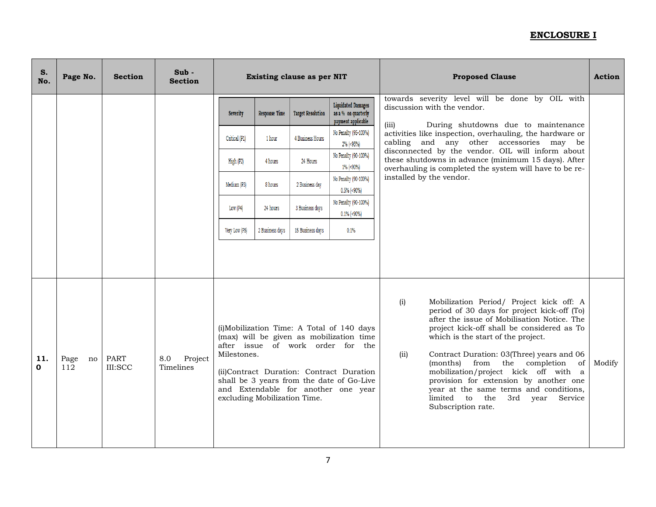| S.<br>No. | Page No.          | <b>Section</b>         | $Sub -$<br><b>Section</b>   |                 | Existing clause as per NIT                                                                                                                                                                                                                                                                                   |                          |                                                                        | <b>Proposed Clause</b>                                                                                                                                                                                                                                                                                                                                                                                                                                                                                                     | <b>Action</b> |
|-----------|-------------------|------------------------|-----------------------------|-----------------|--------------------------------------------------------------------------------------------------------------------------------------------------------------------------------------------------------------------------------------------------------------------------------------------------------------|--------------------------|------------------------------------------------------------------------|----------------------------------------------------------------------------------------------------------------------------------------------------------------------------------------------------------------------------------------------------------------------------------------------------------------------------------------------------------------------------------------------------------------------------------------------------------------------------------------------------------------------------|---------------|
|           |                   |                        |                             | <b>Severity</b> | <b>Response Time</b>                                                                                                                                                                                                                                                                                         | <b>Target Resolution</b> | <b>Liquidated Damages</b><br>as a % on quarterly<br>payment applicable | towards severity level will be done by OIL with<br>discussion with the vendor.<br>(iii)<br>During shutdowns due to maintenance                                                                                                                                                                                                                                                                                                                                                                                             |               |
|           |                   |                        |                             | Critical (P1)   | 1 hour                                                                                                                                                                                                                                                                                                       | 4 Business Hours         | No Penalty (95-100%)<br>2% (<95%)                                      | activities like inspection, overhauling, the hardware or<br>cabling and any other accessories may be                                                                                                                                                                                                                                                                                                                                                                                                                       |               |
|           |                   |                        |                             | High (P2)       | 4 hours                                                                                                                                                                                                                                                                                                      | 24 Hours                 | No Penalty (90-100%)<br>1% (<90%)                                      | disconnected by the vendor. OIL will inform about<br>these shutdowns in advance (minimum 15 days). After<br>overhauling is completed the system will have to be re-                                                                                                                                                                                                                                                                                                                                                        |               |
|           |                   |                        |                             | Medium (P3)     | 8 hours                                                                                                                                                                                                                                                                                                      | 2 Business day           | No Penalty (90-100%)<br>$0.5\%$ (<90%)                                 | installed by the vendor.                                                                                                                                                                                                                                                                                                                                                                                                                                                                                                   |               |
|           |                   |                        |                             | Low (P4)        | 24 hours                                                                                                                                                                                                                                                                                                     | 3 Business days          | No Penalty (90-100%)<br>$0.1\%$ (<90%)                                 |                                                                                                                                                                                                                                                                                                                                                                                                                                                                                                                            |               |
|           |                   |                        |                             | Very Low (P5)   | 2 Business days                                                                                                                                                                                                                                                                                              | 15 Business days         | 0.1%                                                                   |                                                                                                                                                                                                                                                                                                                                                                                                                                                                                                                            |               |
|           |                   |                        |                             |                 |                                                                                                                                                                                                                                                                                                              |                          |                                                                        |                                                                                                                                                                                                                                                                                                                                                                                                                                                                                                                            |               |
| 11.<br>0  | Page<br>no<br>112 | <b>PART</b><br>III:SCC | Project<br>8.0<br>Timelines |                 | (i)Mobilization Time: A Total of 140 days<br>(max) will be given as mobilization time<br>after issue of work order for<br>the<br>Milestones.<br>(ii)Contract Duration: Contract Duration<br>shall be 3 years from the date of Go-Live<br>and Extendable for another one year<br>excluding Mobilization Time. |                          |                                                                        | (i)<br>Mobilization Period/ Project kick off: A<br>period of 30 days for project kick-off (To)<br>after the issue of Mobilisation Notice. The<br>project kick-off shall be considered as To<br>which is the start of the project.<br>Contract Duration: 03(Three) years and 06<br>(ii)<br>(months) from<br>the completion<br>of<br>mobilization/project kick off with a<br>provision for extension by another one<br>year at the same terms and conditions,<br>limited to the<br>3rd vear<br>Service<br>Subscription rate. | Modify        |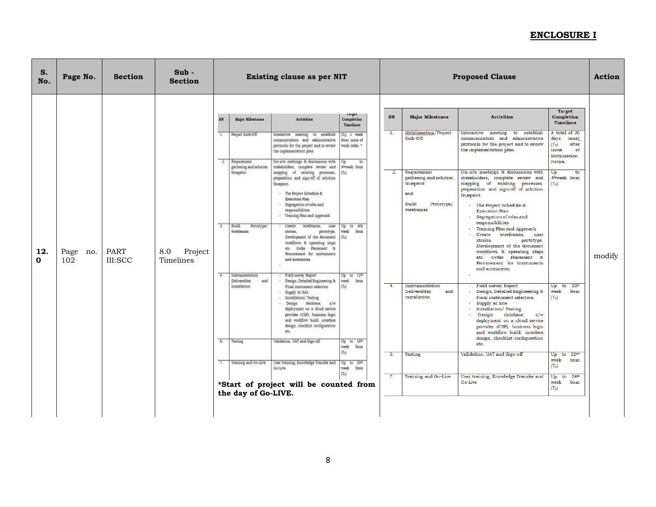| S.<br>No. | Page No.        | <b>Section</b>                | $Sub -$<br><b>Section</b>   | Existing clause as per NIT |                                                                                  |                                                                                                                                                                                                                                                                                     |                                                                                                   |                        |                                                                                                |                                                                                                                                                                                                                                                                                                             |                                                                                                                                                           | <b>Proposed Clause</b> |  | <b>Action</b> |
|-----------|-----------------|-------------------------------|-----------------------------|----------------------------|----------------------------------------------------------------------------------|-------------------------------------------------------------------------------------------------------------------------------------------------------------------------------------------------------------------------------------------------------------------------------------|---------------------------------------------------------------------------------------------------|------------------------|------------------------------------------------------------------------------------------------|-------------------------------------------------------------------------------------------------------------------------------------------------------------------------------------------------------------------------------------------------------------------------------------------------------------|-----------------------------------------------------------------------------------------------------------------------------------------------------------|------------------------|--|---------------|
|           |                 |                               |                             |                            | Major Milentones<br>Project Kick-Off<br>2. Requirement<br>gathering and solution | Activities<br>meeting to establish<br><b>Interactive</b><br>communication and administrative<br>protocols for the project and to review<br>the implementation plan.<br>On site meetings & discussions with<br>stakeholders, complete review and                                     | Completion<br>Timelines<br>Tel 1 week<br>from issue of<br>week order. *<br>Up<br>to<br>dweek from | SN<br>$\overline{1}$ . | <b>Major Milestones</b><br>Mobilisaation/Project<br>Kick-Off                                   | <b>Activities</b><br>meeting to establish<br>Interactive<br>communication and administrative<br>protocols for the project and to review<br>the implementation plan.                                                                                                                                         | <b>Target</b><br>Completion<br><b>Timelines</b><br>A total of 30<br>days<br>(max)<br>(T <sub>o</sub> )<br>after<br>issue<br>of<br>Mobilisation<br>Notice. |                        |  |               |
|           |                 |                               |                             |                            | <b>Muserint</b>                                                                  | mapping of existing processes,<br>preparation and sign-off of solution<br>blueprint<br>- The Project Schedule &<br><b>Execution Plan</b><br>· Segregation of roles and<br>responsibilities:<br>- Training Plan and Approach                                                         | (7)                                                                                               | $\overline{2}$ .       | Requirement<br>gathering and solution<br>blueprint<br>and<br>Build<br>Prototype/<br>wireframes | On-site meetings & discussions with<br>stakeholders, complete review and<br>mapping of existing processes,<br>preparation and sign-off of solution<br>blueprint.<br>- The Project Schedule &<br><b>Execution Plan</b><br>Segregation of roles and<br>responsibilities                                       | Up<br>to<br>4 <sup>th</sup> week from<br>(T <sub>o</sub> )                                                                                                |                        |  |               |
| 12.<br>0  | Page no.<br>102 | <b>PART</b><br><b>III:SCC</b> | 8.0<br>Project<br>Timelines | ÷.                         | Suid.<br>Pretetype/<br>wireframes<br>Instrumentation                             | Create<br>wireframes.<br><b>SHAM</b><br>stories.<br>prototype,<br>Development of the document<br>workflows & operating steps<br>Order Placement &<br>ete.<br>Procurement for instruments<br>and accessories<br>Field survey Report                                                  | to 4th<br>week.<br>from<br>(1)<br>$Up$ to $12^{46}$                                               |                        |                                                                                                | Training Plan and Approach<br>wireframes,<br>Create<br>user<br>stories.<br>prototype,<br>Development of the document<br>workflows & operating steps<br>etc. Order Placement &<br>Procurement for instruments<br>and accessories                                                                             |                                                                                                                                                           | modify                 |  |               |
|           |                 |                               |                             |                            | Deliverables<br>and<br>hoitellation                                              | Design, Detailed Engineering &<br>Final instrument selection<br>· Supply at Site<br>Installation/ Testing<br>Design database,<br>x/w<br>desloyment on a cloud service<br>provider (CSP), business logic<br>and worldlow build, interface<br>design, checklist configuration<br>etc. | week.<br>from<br>(7s)                                                                             | $\overline{4}$ .       | Instrumentation<br><b>Deliverables</b><br>and<br>Installation                                  | - Field survey Report<br>- Design, Detailed Engineering &<br>Final instrument selection<br>Supply at Site<br><b>Installation/ Testing</b><br>Design database,<br>s/w<br>deployment on a cloud service<br>provider (CSP), business logic<br>and workflow build, interface<br>design, checklist configuration | to $20th$<br>Up<br>from<br>week<br>(T <sub>o</sub> )                                                                                                      |                        |  |               |
|           |                 |                               |                             | $\sigma$                   | Testing                                                                          | Validation, UAT and Sign-off                                                                                                                                                                                                                                                        | Up to 16th<br>week<br>from                                                                        |                        |                                                                                                | etc.                                                                                                                                                                                                                                                                                                        |                                                                                                                                                           |                        |  |               |
|           |                 |                               |                             |                            | Trenting and Go-Live                                                             | User training. Knowledge Transfer and<br>Go Lite                                                                                                                                                                                                                                    | $(T_2)$<br>Up to 20th<br>week.<br>from                                                            | $\overline{6}$ .       | <b>Testing</b>                                                                                 | Validation, UAT and Sign-off                                                                                                                                                                                                                                                                                | Up to 22nd<br>week<br>from<br>(T <sub>o</sub> )                                                                                                           |                        |  |               |
|           |                 |                               |                             |                            | the day of Go-LIVE.                                                              | *Start of project will be counted from                                                                                                                                                                                                                                              |                                                                                                   | $\overline{7}$ .       | Training and Go-Live                                                                           | User training, Knowledge Transfer and<br>Go Live                                                                                                                                                                                                                                                            | to $24th$<br>Up<br>week<br>from<br>(T <sub>o</sub> )                                                                                                      |                        |  |               |
|           |                 |                               |                             |                            |                                                                                  |                                                                                                                                                                                                                                                                                     |                                                                                                   |                        |                                                                                                |                                                                                                                                                                                                                                                                                                             |                                                                                                                                                           |                        |  |               |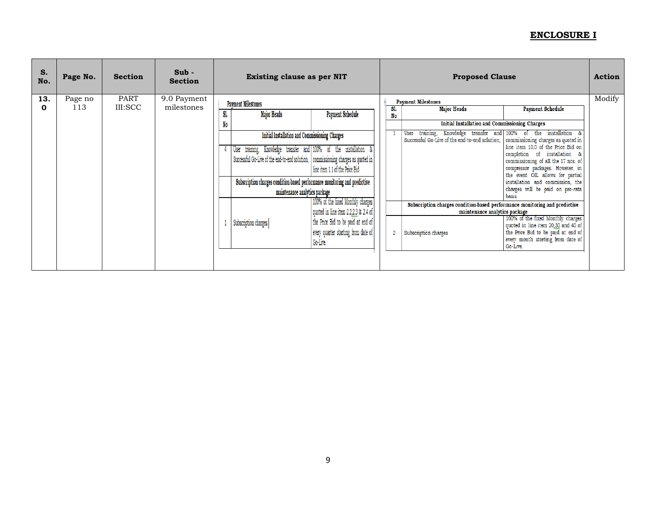| S.<br>No. | Page No. | <b>Section</b> | $Sub -$<br><b>Section</b> | Existing clause as per NIT |                                                                                     |                                      | <b>Proposed Clause</b> |                                                                                                    |                                                                        | <b>Action</b> |
|-----------|----------|----------------|---------------------------|----------------------------|-------------------------------------------------------------------------------------|--------------------------------------|------------------------|----------------------------------------------------------------------------------------------------|------------------------------------------------------------------------|---------------|
| 13.       | Page no  | <b>PART</b>    | 9.0 Payment               |                            |                                                                                     |                                      |                        | <b>Payment Milestones</b>                                                                          |                                                                        | Modify        |
| $\bf{0}$  | 113      | III:SCC        | milestones                |                            | <b>Payment Milestones</b>                                                           |                                      | S1.                    | <b>Major Heads</b>                                                                                 | <b>Payment Schedule</b>                                                |               |
|           |          |                |                           | SI.                        | <b>Major Heads</b>                                                                  | <b>Payment Schedule</b>              | No                     |                                                                                                    |                                                                        |               |
|           |          |                |                           | No                         |                                                                                     |                                      |                        | <b>Initial Installation and Commissioning Charges</b>                                              |                                                                        |               |
|           |          |                |                           |                            | Initial Installation and Commissioning Charges                                      |                                      |                        | Knowledge transfer and 100%<br>training,<br>User<br>Successful Go-Live of the end-to-end solution, | installation<br>-85<br>the<br>of<br>commissioning charges as quoted in |               |
|           |          |                |                           |                            | training, Knowledge transfer and 100% of the installation<br>User                   |                                      |                        |                                                                                                    | line item 10.0 of the Price Bid on<br>completion of installation &     |               |
|           |          |                |                           |                            | Successful Go-Live of the end-to-end solution,   commissioning charges as quoted in |                                      |                        |                                                                                                    | commissioning of all the 17 nos. of                                    |               |
|           |          |                |                           |                            |                                                                                     | line item 1.1 of the Price Bid       |                        |                                                                                                    | compressor packages. However, in                                       |               |
|           |          |                |                           |                            |                                                                                     |                                      |                        |                                                                                                    | the event OIL allows for partial                                       |               |
|           |          |                |                           |                            | Subscription charges condition-based performance monitoring and predictive          |                                      |                        |                                                                                                    | installation and commission, the                                       |               |
|           |          |                |                           |                            | maintenance analytics package                                                       |                                      |                        |                                                                                                    | charges will be paid on pro-rata<br>basis                              |               |
|           |          |                |                           |                            |                                                                                     | 100% of the fixed Monthly charges    |                        | Subscription charges condition-based performance monitoring and predictive                         |                                                                        |               |
|           |          |                |                           |                            |                                                                                     | quoted in line item 2.2.2.3 & 2.4 of |                        | maintenance analytics package                                                                      |                                                                        |               |
|           |          |                |                           |                            | Subscription charges                                                                | the Price Bid to be paid at end of   |                        |                                                                                                    | 100% of the fixed Monthly charges                                      |               |
|           |          |                |                           |                            |                                                                                     |                                      |                        |                                                                                                    | quoted in line item 20,30 and 40 of                                    |               |
|           |          |                |                           |                            |                                                                                     | every quarter starting from date of  | -2                     | Subscription charges                                                                               | the Price Bid to be paid at end of                                     |               |
|           |          |                |                           |                            |                                                                                     | Go-Live.                             |                        |                                                                                                    | every month starting from date of<br>Go-Live.                          |               |
|           |          |                |                           |                            |                                                                                     |                                      |                        |                                                                                                    |                                                                        |               |
|           |          |                |                           |                            |                                                                                     |                                      |                        |                                                                                                    |                                                                        |               |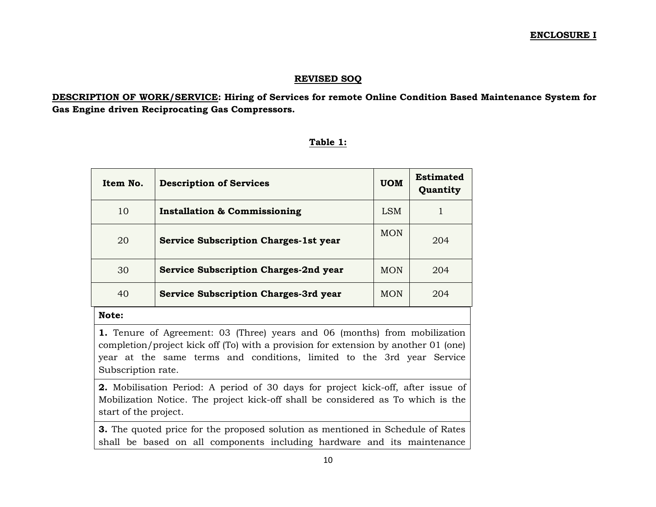#### **REVISED SOQ**

**DESCRIPTION OF WORK/SERVICE: Hiring of Services for remote Online Condition Based Maintenance System for Gas Engine driven Reciprocating Gas Compressors.**

#### **Table 1:**

| Item No. | <b>Description of Services</b>               | <b>UOM</b> | <b>Estimated</b><br>Quantity |
|----------|----------------------------------------------|------------|------------------------------|
| 10       | <b>Installation &amp; Commissioning</b>      | LSM        |                              |
| 20       | <b>Service Subscription Charges-1st year</b> | <b>MON</b> | 204                          |
| 30       | <b>Service Subscription Charges-2nd year</b> | <b>MON</b> | 204                          |
| 40       | <b>Service Subscription Charges-3rd year</b> | <b>MON</b> | 204                          |
| Note:    |                                              |            |                              |

**1.** Tenure of Agreement: 03 (Three) years and 06 (months) from mobilization completion/project kick off (To) with a provision for extension by another 01 (one) year at the same terms and conditions, limited to the 3rd year Service Subscription rate.

**2.** Mobilisation Period: A period of 30 days for project kick-off, after issue of Mobilization Notice. The project kick-off shall be considered as To which is the start of the project.

**3.** The quoted price for the proposed solution as mentioned in Schedule of Rates shall be based on all components including hardware and its maintenance